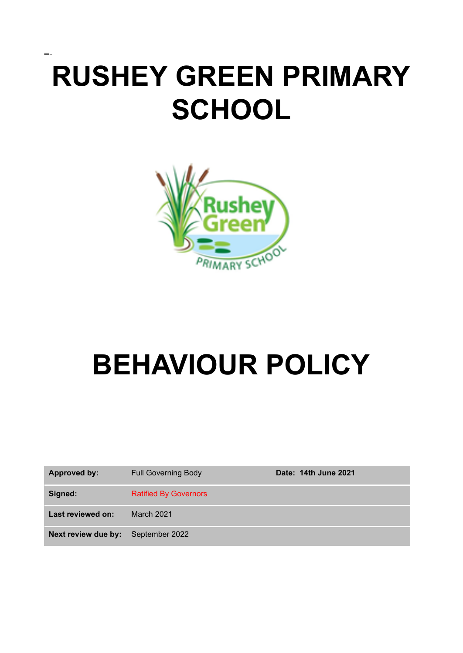# **RUSHEY GREEN PRIMARY SCHOOL**

=-



# **BEHAVIOUR POLICY**

| Approved by:        | <b>Full Governing Body</b>   | Date: 14th June 2021 |
|---------------------|------------------------------|----------------------|
| Signed:             | <b>Ratified By Governors</b> |                      |
| Last reviewed on:   | <b>March 2021</b>            |                      |
| Next review due by: | September 2022               |                      |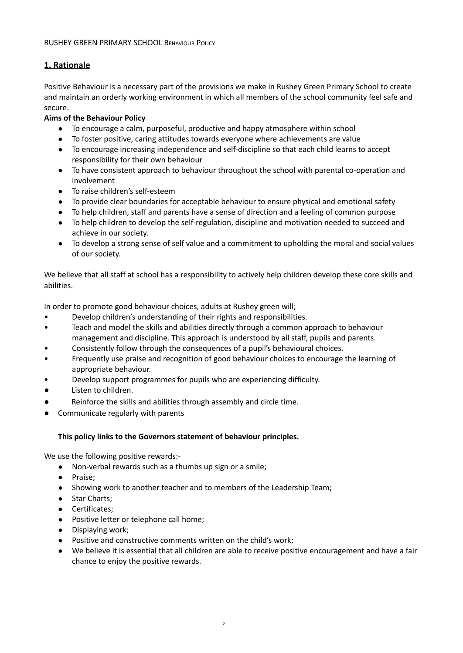### **1. Rationale**

Positive Behaviour is a necessary part of the provisions we make in Rushey Green Primary School to create and maintain an orderly working environment in which all members of the school community feel safe and secure.

#### **Aims of the Behaviour Policy**

- To encourage a calm, purposeful, productive and happy atmosphere within school
- To foster positive, caring attitudes towards everyone where achievements are value
- To encourage increasing independence and self-discipline so that each child learns to accept responsibility for their own behaviour
- To have consistent approach to behaviour throughout the school with parental co-operation and involvement
- To raise children's self-esteem
- To provide clear boundaries for acceptable behaviour to ensure physical and emotional safety
- To help children, staff and parents have a sense of direction and a feeling of common purpose
- To help children to develop the self-regulation, discipline and motivation needed to succeed and achieve in our society.
- To develop a strong sense of self value and a commitment to upholding the moral and social values of our society.

We believe that all staff at school has a responsibility to actively help children develop these core skills and abilities.

In order to promote good behaviour choices, adults at Rushey green will;

- Develop children's understanding of their rights and responsibilities.
- Teach and model the skills and abilities directly through a common approach to behaviour management and discipline. This approach is understood by all staff, pupils and parents.
- Consistently follow through the consequences of a pupil's behavioural choices.
- Frequently use praise and recognition of good behaviour choices to encourage the learning of appropriate behaviour.
- Develop support programmes for pupils who are experiencing difficulty.
- Listen to children.
- Reinforce the skills and abilities through assembly and circle time.
- Communicate regularly with parents

#### **This policy links to the Governors statement of behaviour principles.**

We use the following positive rewards:-

- Non-verbal rewards such as a thumbs up sign or a smile;
- Praise;
- Showing work to another teacher and to members of the Leadership Team;
- Star Charts;
- Certificates;
- Positive letter or telephone call home;
- Displaying work;
- Positive and constructive comments written on the child's work;
- We believe it is essential that all children are able to receive positive encouragement and have a fair chance to enjoy the positive rewards.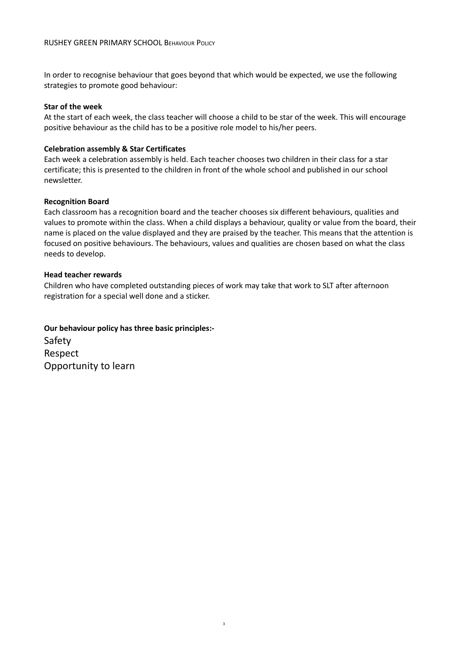In order to recognise behaviour that goes beyond that which would be expected, we use the following strategies to promote good behaviour:

#### **Star of the week**

At the start of each week, the class teacher will choose a child to be star of the week. This will encourage positive behaviour as the child has to be a positive role model to his/her peers.

#### **Celebration assembly & Star Certificates**

Each week a celebration assembly is held. Each teacher chooses two children in their class for a star certificate; this is presented to the children in front of the whole school and published in our school newsletter.

#### **Recognition Board**

Each classroom has a recognition board and the teacher chooses six different behaviours, qualities and values to promote within the class. When a child displays a behaviour, quality or value from the board, their name is placed on the value displayed and they are praised by the teacher. This means that the attention is focused on positive behaviours. The behaviours, values and qualities are chosen based on what the class needs to develop.

#### **Head teacher rewards**

Children who have completed outstanding pieces of work may take that work to SLT after afternoon registration for a special well done and a sticker.

3

#### **Our behaviour policy has three basic principles:-**

Safety Respect Opportunity to learn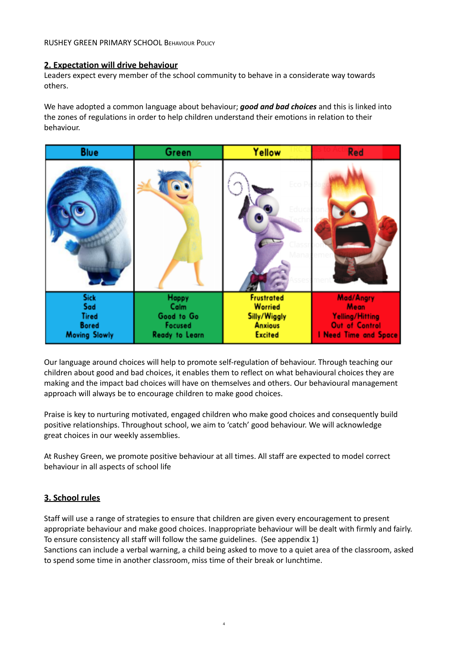#### **2. Expectation will drive behaviour**

Leaders expect every member of the school community to behave in a considerate way towards others.

We have adopted a common language about behaviour; *good and bad choices* and this is linked into the zones of regulations in order to help children understand their emotions in relation to their behaviour.



Our language around choices will help to promote self-regulation of behaviour. Through teaching our children about good and bad choices, it enables them to reflect on what behavioural choices they are making and the impact bad choices will have on themselves and others. Our behavioural management approach will always be to encourage children to make good choices.

Praise is key to nurturing motivated, engaged children who make good choices and consequently build positive relationships. Throughout school, we aim to 'catch' good behaviour. We will acknowledge great choices in our weekly assemblies.

At Rushey Green, we promote positive behaviour at all times. All staff are expected to model correct behaviour in all aspects of school life

#### **3. School rules**

Staff will use a range of strategies to ensure that children are given every encouragement to present appropriate behaviour and make good choices. Inappropriate behaviour will be dealt with firmly and fairly. To ensure consistency all staff will follow the same guidelines. (See appendix 1)

Sanctions can include a verbal warning, a child being asked to move to a quiet area of the classroom, asked to spend some time in another classroom, miss time of their break or lunchtime.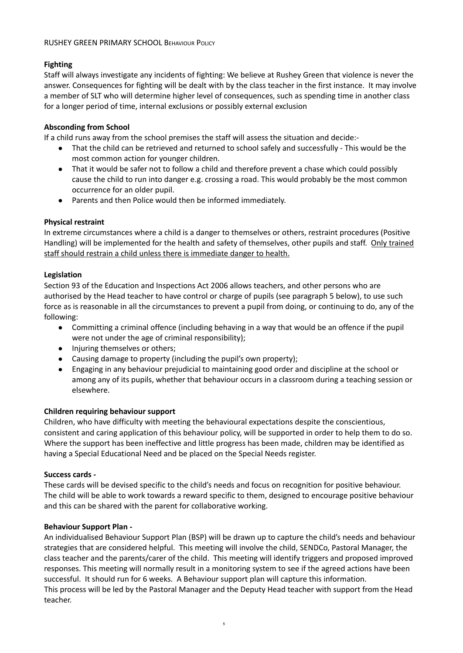#### **Fighting**

Staff will always investigate any incidents of fighting: We believe at Rushey Green that violence is never the answer. Consequences for fighting will be dealt with by the class teacher in the first instance. It may involve a member of SLT who will determine higher level of consequences, such as spending time in another class for a longer period of time, internal exclusions or possibly external exclusion

#### **Absconding from School**

If a child runs away from the school premises the staff will assess the situation and decide:-

- That the child can be retrieved and returned to school safely and successfully This would be the most common action for younger children.
- That it would be safer not to follow a child and therefore prevent a chase which could possibly cause the child to run into danger e.g. crossing a road. This would probably be the most common occurrence for an older pupil.
- Parents and then Police would then be informed immediately.

#### **Physical restraint**

In extreme circumstances where a child is a danger to themselves or others, restraint procedures (Positive Handling) will be implemented for the health and safety of themselves, other pupils and staff. Only trained staff should restrain a child unless there is immediate danger to health.

#### **Legislation**

Section 93 of the Education and Inspections Act 2006 allows teachers, and other persons who are authorised by the Head teacher to have control or charge of pupils (see paragraph 5 below), to use such force as is reasonable in all the circumstances to prevent a pupil from doing, or continuing to do, any of the following:

- Committing a criminal offence (including behaving in a way that would be an offence if the pupil were not under the age of criminal responsibility);
- Injuring themselves or others;
- Causing damage to property (including the pupil's own property);
- Engaging in any behaviour prejudicial to maintaining good order and discipline at the school or among any of its pupils, whether that behaviour occurs in a classroom during a teaching session or elsewhere.

#### **Children requiring behaviour support**

Children, who have difficulty with meeting the behavioural expectations despite the conscientious, consistent and caring application of this behaviour policy, will be supported in order to help them to do so. Where the support has been ineffective and little progress has been made, children may be identified as having a Special Educational Need and be placed on the Special Needs register.

#### **Success cards -**

These cards will be devised specific to the child's needs and focus on recognition for positive behaviour. The child will be able to work towards a reward specific to them, designed to encourage positive behaviour and this can be shared with the parent for collaborative working.

#### **Behaviour Support Plan -**

An individualised Behaviour Support Plan (BSP) will be drawn up to capture the child's needs and behaviour strategies that are considered helpful. This meeting will involve the child, SENDCo, Pastoral Manager, the class teacher and the parents/carer of the child. This meeting will identify triggers and proposed improved responses. This meeting will normally result in a monitoring system to see if the agreed actions have been successful. It should run for 6 weeks. A Behaviour support plan will capture this information. This process will be led by the Pastoral Manager and the Deputy Head teacher with support from the Head teacher.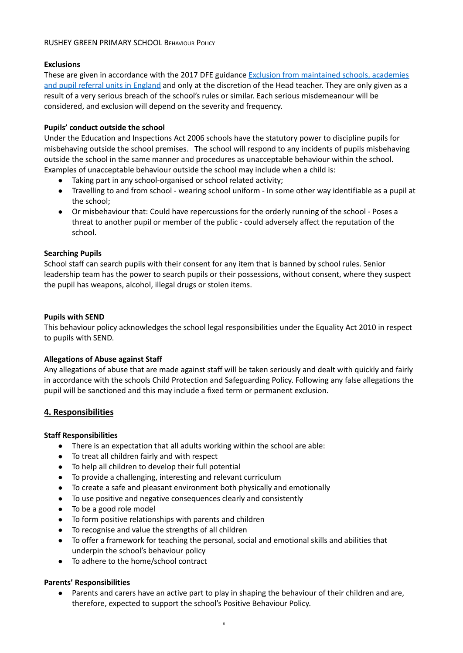#### **Exclusions**

These are given in accordance with the 2017 DFE guidance Exclusion from [maintained](https://www.gov.uk/government/uploads/system/uploads/attachment_data/file/641418/20170831_Exclusion_Stat_guidance_Web_version.pdf) schools, academies and pupil referral units in [England](https://www.gov.uk/government/uploads/system/uploads/attachment_data/file/641418/20170831_Exclusion_Stat_guidance_Web_version.pdf) and only at the discretion of the Head teacher. They are only given as a result of a very serious breach of the school's rules or similar. Each serious misdemeanour will be considered, and exclusion will depend on the severity and frequency.

#### **Pupils' conduct outside the school**

Under the Education and Inspections Act 2006 schools have the statutory power to discipline pupils for misbehaving outside the school premises. The school will respond to any incidents of pupils misbehaving outside the school in the same manner and procedures as unacceptable behaviour within the school. Examples of unacceptable behaviour outside the school may include when a child is:

- Taking part in any school-organised or school related activity;
- Travelling to and from school wearing school uniform In some other way identifiable as a pupil at the school;
- Or misbehaviour that: Could have repercussions for the orderly running of the school Poses a threat to another pupil or member of the public - could adversely affect the reputation of the school.

#### **Searching Pupils**

School staff can search pupils with their consent for any item that is banned by school rules. Senior leadership team has the power to search pupils or their possessions, without consent, where they suspect the pupil has weapons, alcohol, illegal drugs or stolen items.

#### **Pupils with SEND**

This behaviour policy acknowledges the school legal responsibilities under the Equality Act 2010 in respect to pupils with SEND.

#### **Allegations of Abuse against Staff**

Any allegations of abuse that are made against staff will be taken seriously and dealt with quickly and fairly in accordance with the schools Child Protection and Safeguarding Policy. Following any false allegations the pupil will be sanctioned and this may include a fixed term or permanent exclusion.

#### **4. Responsibilities**

#### **Staff Responsibilities**

- There is an expectation that all adults working within the school are able:
- To treat all children fairly and with respect
- To help all children to develop their full potential
- To provide a challenging, interesting and relevant curriculum
- To create a safe and pleasant environment both physically and emotionally
- To use positive and negative consequences clearly and consistently
- To be a good role model
- To form positive relationships with parents and children
- To recognise and value the strengths of all children
- To offer a framework for teaching the personal, social and emotional skills and abilities that underpin the school's behaviour policy
- To adhere to the home/school contract

#### **Parents' Responsibilities**

● Parents and carers have an active part to play in shaping the behaviour of their children and are, therefore, expected to support the school's Positive Behaviour Policy.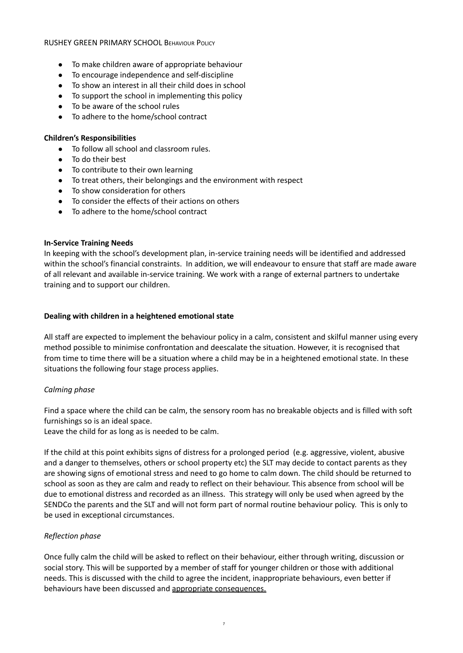- To make children aware of appropriate behaviour
- To encourage independence and self-discipline
- To show an interest in all their child does in school
- To support the school in implementing this policy
- To be aware of the school rules
- To adhere to the home/school contract

#### **Children's Responsibilities**

- To follow all school and classroom rules.
- To do their best
- To contribute to their own learning
- To treat others, their belongings and the environment with respect
- To show consideration for others
- To consider the effects of their actions on others
- To adhere to the home/school contract

#### **In-Service Training Needs**

In keeping with the school's development plan, in-service training needs will be identified and addressed within the school's financial constraints. In addition, we will endeavour to ensure that staff are made aware of all relevant and available in-service training. We work with a range of external partners to undertake training and to support our children.

#### **Dealing with children in a heightened emotional state**

All staff are expected to implement the behaviour policy in a calm, consistent and skilful manner using every method possible to minimise confrontation and deescalate the situation. However, it is recognised that from time to time there will be a situation where a child may be in a heightened emotional state. In these situations the following four stage process applies.

#### *Calming phase*

Find a space where the child can be calm, the sensory room has no breakable objects and is filled with soft furnishings so is an ideal space.

Leave the child for as long as is needed to be calm.

If the child at this point exhibits signs of distress for a prolonged period (e.g. aggressive, violent, abusive and a danger to themselves, others or school property etc) the SLT may decide to contact parents as they are showing signs of emotional stress and need to go home to calm down. The child should be returned to school as soon as they are calm and ready to reflect on their behaviour. This absence from school will be due to emotional distress and recorded as an illness. This strategy will only be used when agreed by the SENDCo the parents and the SLT and will not form part of normal routine behaviour policy. This is only to be used in exceptional circumstances.

#### *Reflection phase*

Once fully calm the child will be asked to reflect on their behaviour, either through writing, discussion or social story. This will be supported by a member of staff for younger children or those with additional needs. This is discussed with the child to agree the incident, inappropriate behaviours, even better if behaviours have been discussed and appropriate consequences.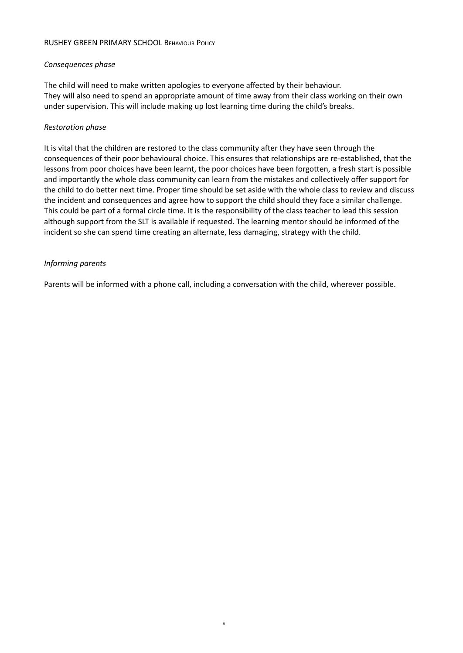#### *Consequences phase*

The child will need to make written apologies to everyone affected by their behaviour. They will also need to spend an appropriate amount of time away from their class working on their own under supervision. This will include making up lost learning time during the child's breaks.

#### *Restoration phase*

It is vital that the children are restored to the class community after they have seen through the consequences of their poor behavioural choice. This ensures that relationships are re-established, that the lessons from poor choices have been learnt, the poor choices have been forgotten, a fresh start is possible and importantly the whole class community can learn from the mistakes and collectively offer support for the child to do better next time. Proper time should be set aside with the whole class to review and discuss the incident and consequences and agree how to support the child should they face a similar challenge. This could be part of a formal circle time. It is the responsibility of the class teacher to lead this session although support from the SLT is available if requested. The learning mentor should be informed of the incident so she can spend time creating an alternate, less damaging, strategy with the child.

#### *Informing parents*

Parents will be informed with a phone call, including a conversation with the child, wherever possible.

8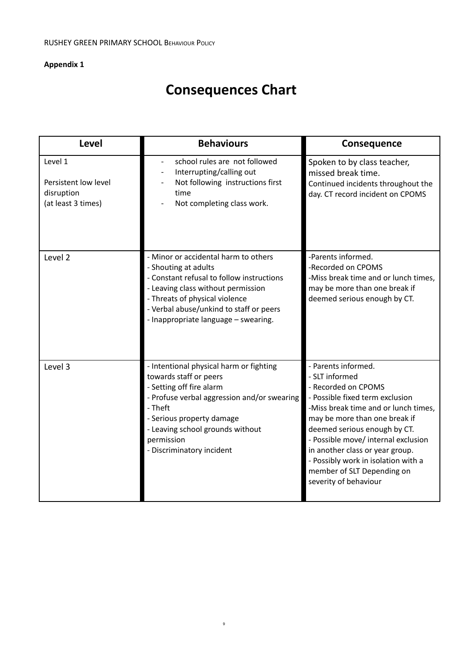# **Appendix 1**

# **Consequences Chart**

| <b>Level</b>                                                        | <b>Behaviours</b>                                                                                                                                                                                                                                                    | <b>Consequence</b>                                                                                                                                                                                                                                                                                                                                                               |
|---------------------------------------------------------------------|----------------------------------------------------------------------------------------------------------------------------------------------------------------------------------------------------------------------------------------------------------------------|----------------------------------------------------------------------------------------------------------------------------------------------------------------------------------------------------------------------------------------------------------------------------------------------------------------------------------------------------------------------------------|
| Level 1<br>Persistent low level<br>disruption<br>(at least 3 times) | school rules are not followed<br>$\overline{a}$<br>Interrupting/calling out<br>Not following instructions first<br>time<br>Not completing class work.                                                                                                                | Spoken to by class teacher,<br>missed break time.<br>Continued incidents throughout the<br>day. CT record incident on CPOMS                                                                                                                                                                                                                                                      |
| Level 2                                                             | - Minor or accidental harm to others<br>- Shouting at adults<br>- Constant refusal to follow instructions<br>- Leaving class without permission<br>- Threats of physical violence<br>- Verbal abuse/unkind to staff or peers<br>- Inappropriate language - swearing. | -Parents informed.<br>-Recorded on CPOMS<br>-Miss break time and or lunch times,<br>may be more than one break if<br>deemed serious enough by CT.                                                                                                                                                                                                                                |
| Level 3                                                             | - Intentional physical harm or fighting<br>towards staff or peers<br>- Setting off fire alarm<br>- Profuse verbal aggression and/or swearing<br>- Theft<br>- Serious property damage<br>- Leaving school grounds without<br>permission<br>- Discriminatory incident  | - Parents informed.<br>- SLT informed<br>- Recorded on CPOMS<br>- Possible fixed term exclusion<br>-Miss break time and or lunch times,<br>may be more than one break if<br>deemed serious enough by CT.<br>- Possible move/ internal exclusion<br>in another class or year group.<br>- Possibly work in isolation with a<br>member of SLT Depending on<br>severity of behaviour |

9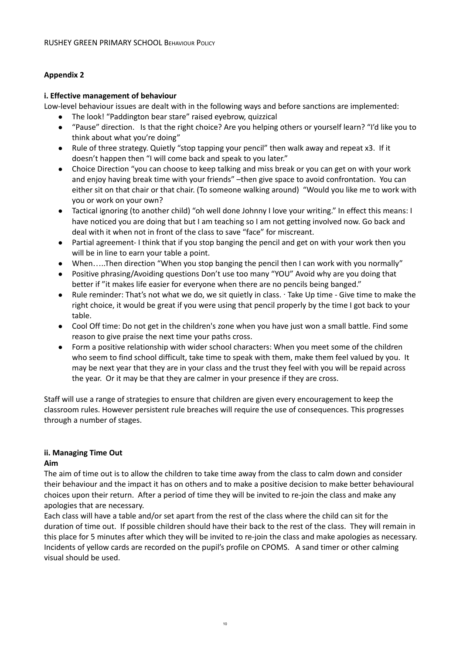### **Appendix 2**

#### **i. Effective management of behaviour**

Low-level behaviour issues are dealt with in the following ways and before sanctions are implemented:

- The look! "Paddington bear stare" raised eyebrow, quizzical
- "Pause" direction. Is that the right choice? Are you helping others or yourself learn? "I'd like you to think about what you're doing"
- Rule of three strategy. Quietly "stop tapping your pencil" then walk away and repeat x3. If it doesn't happen then "I will come back and speak to you later."
- Choice Direction "you can choose to keep talking and miss break or you can get on with your work and enjoy having break time with your friends" –then give space to avoid confrontation. You can either sit on that chair or that chair. (To someone walking around) "Would you like me to work with you or work on your own?
- Tactical ignoring (to another child) "oh well done Johnny I love your writing." In effect this means: I have noticed you are doing that but I am teaching so I am not getting involved now. Go back and deal with it when not in front of the class to save "face" for miscreant.
- Partial agreement- I think that if you stop banging the pencil and get on with your work then you will be in line to earn your table a point.
- When…..Then direction "When you stop banging the pencil then I can work with you normally"
- Positive phrasing/Avoiding questions Don't use too many "YOU" Avoid why are you doing that better if "it makes life easier for everyone when there are no pencils being banged."
- Rule reminder: That's not what we do, we sit quietly in class. ∙ Take Up time Give time to make the right choice, it would be great if you were using that pencil properly by the time I got back to your table.
- Cool Off time: Do not get in the children's zone when you have just won a small battle. Find some reason to give praise the next time your paths cross.
- Form a positive relationship with wider school characters: When you meet some of the children who seem to find school difficult, take time to speak with them, make them feel valued by you. It may be next year that they are in your class and the trust they feel with you will be repaid across the year. Or it may be that they are calmer in your presence if they are cross.

Staff will use a range of strategies to ensure that children are given every encouragement to keep the classroom rules. However persistent rule breaches will require the use of consequences. This progresses through a number of stages.

## **ii. Managing Time Out**

#### **Aim**

The aim of time out is to allow the children to take time away from the class to calm down and consider their behaviour and the impact it has on others and to make a positive decision to make better behavioural choices upon their return. After a period of time they will be invited to re-join the class and make any apologies that are necessary.

Each class will have a table and/or set apart from the rest of the class where the child can sit for the duration of time out. If possible children should have their back to the rest of the class. They will remain in this place for 5 minutes after which they will be invited to re-join the class and make apologies as necessary. Incidents of yellow cards are recorded on the pupil's profile on CPOMS. A sand timer or other calming visual should be used.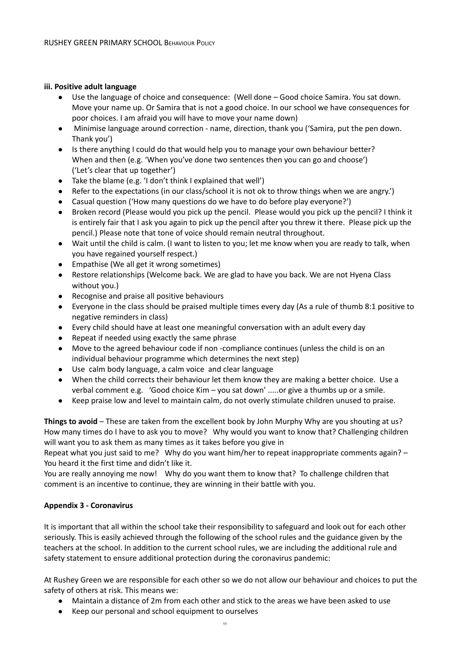#### **iii. Positive adult language**

- Use the language of choice and consequence: (Well done Good choice Samira. You sat down. Move your name up. Or Samira that is not a good choice. In our school we have consequences for poor choices. I am afraid you will have to move your name down)
- Minimise language around correction name, direction, thank you ('Samira, put the pen down. Thank you')
- Is there anything I could do that would help you to manage your own behaviour better? When and then (e.g. 'When you've done two sentences then you can go and choose') ('Let's clear that up together')
- Take the blame (e.g. 'I don't think I explained that well')
- Refer to the expectations (in our class/school it is not ok to throw things when we are angry.')
- Casual question ('How many questions do we have to do before play everyone?')
- Broken record (Please would you pick up the pencil. Please would you pick up the pencil? I think it is entirely fair that I ask you again to pick up the pencil after you threw it there. Please pick up the pencil.) Please note that tone of voice should remain neutral throughout.
- Wait until the child is calm. (I want to listen to you; let me know when you are ready to talk, when you have regained yourself respect.)
- Empathise (We all get it wrong sometimes)
- Restore relationships (Welcome back. We are glad to have you back. We are not Hyena Class without you.)
- Recognise and praise all positive behaviours
- Everyone in the class should be praised multiple times every day (As a rule of thumb 8:1 positive to negative reminders in class)
- Every child should have at least one meaningful conversation with an adult every day
- Repeat if needed using exactly the same phrase
- Move to the agreed behaviour code if non -compliance continues (unless the child is on an individual behaviour programme which determines the next step)
- Use calm body language, a calm voice and clear language
- When the child corrects their behaviour let them know they are making a better choice. Use a verbal comment e.g. 'Good choice Kim – you sat down' .....or give a thumbs up or a smile.
- Keep praise low and level to maintain calm, do not overly stimulate children unused to praise.

**Things to avoid** – These are taken from the excellent book by John Murphy Why are you shouting at us? How many times do I have to ask you to move? Why would you want to know that? Challenging children will want you to ask them as many times as it takes before you give in

Repeat what you just said to me? Why do you want him/her to repeat inappropriate comments again? – You heard it the first time and didn't like it.

You are really annoying me now! Why do you want them to know that? To challenge children that comment is an incentive to continue, they are winning in their battle with you.

#### **Appendix 3 - Coronavirus**

It is important that all within the school take their responsibility to safeguard and look out for each other seriously. This is easily achieved through the following of the school rules and the guidance given by the teachers at the school. In addition to the current school rules, we are including the additional rule and safety statement to ensure additional protection during the coronavirus pandemic:

At Rushey Green we are responsible for each other so we do not allow our behaviour and choices to put the safety of others at risk. This means we:

- Maintain a distance of 2m from each other and stick to the areas we have been asked to use
- Keep our personal and school equipment to ourselves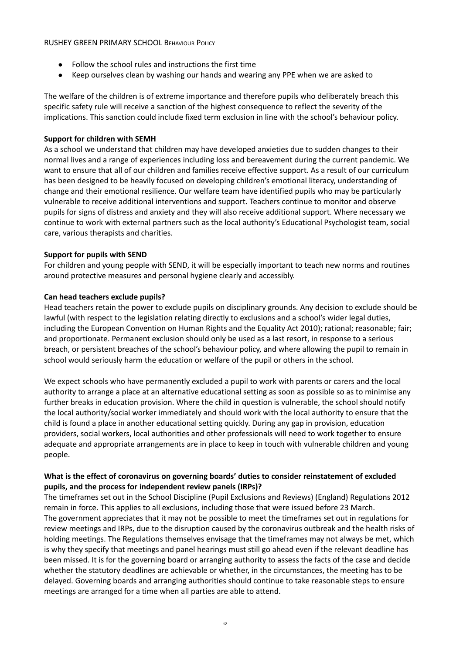- Follow the school rules and instructions the first time
- Keep ourselves clean by washing our hands and wearing any PPE when we are asked to

The welfare of the children is of extreme importance and therefore pupils who deliberately breach this specific safety rule will receive a sanction of the highest consequence to reflect the severity of the implications. This sanction could include fixed term exclusion in line with the school's behaviour policy.

#### **Support for children with SEMH**

As a school we understand that children may have developed anxieties due to sudden changes to their normal lives and a range of experiences including loss and bereavement during the current pandemic. We want to ensure that all of our children and families receive effective support. As a result of our curriculum has been designed to be heavily focused on developing children's emotional literacy, understanding of change and their emotional resilience. Our welfare team have identified pupils who may be particularly vulnerable to receive additional interventions and support. Teachers continue to monitor and observe pupils for signs of distress and anxiety and they will also receive additional support. Where necessary we continue to work with external partners such as the local authority's Educational Psychologist team, social care, various therapists and charities.

#### **Support for pupils with SEND**

For children and young people with SEND, it will be especially important to teach new norms and routines around protective measures and personal hygiene clearly and accessibly.

#### **Can head teachers exclude pupils?**

Head teachers retain the power to exclude pupils on disciplinary grounds. Any decision to exclude should be lawful (with respect to the legislation relating directly to exclusions and a school's wider legal duties, including the European Convention on Human Rights and the Equality Act 2010); rational; reasonable; fair; and proportionate. Permanent exclusion should only be used as a last resort, in response to a serious breach, or persistent breaches of the school's behaviour policy, and where allowing the pupil to remain in school would seriously harm the education or welfare of the pupil or others in the school.

We expect schools who have permanently excluded a pupil to work with parents or carers and the local authority to arrange a place at an alternative educational setting as soon as possible so as to minimise any further breaks in education provision. Where the child in question is vulnerable, the school should notify the local authority/social worker immediately and should work with the local authority to ensure that the child is found a place in another educational setting quickly. During any gap in provision, education providers, social workers, local authorities and other professionals will need to work together to ensure adequate and appropriate arrangements are in place to keep in touch with vulnerable children and young people.

#### **What is the effect of coronavirus on governing boards' duties to consider reinstatement of excluded pupils, and the process for independent review panels (IRPs)?**

The timeframes set out in the School Discipline (Pupil Exclusions and Reviews) (England) Regulations 2012 remain in force. This applies to all exclusions, including those that were issued before 23 March. The government appreciates that it may not be possible to meet the timeframes set out in regulations for review meetings and IRPs, due to the disruption caused by the coronavirus outbreak and the health risks of holding meetings. The Regulations themselves envisage that the timeframes may not always be met, which is why they specify that meetings and panel hearings must still go ahead even if the relevant deadline has been missed. It is for the governing board or arranging authority to assess the facts of the case and decide whether the statutory deadlines are achievable or whether, in the circumstances, the meeting has to be delayed. Governing boards and arranging authorities should continue to take reasonable steps to ensure meetings are arranged for a time when all parties are able to attend.